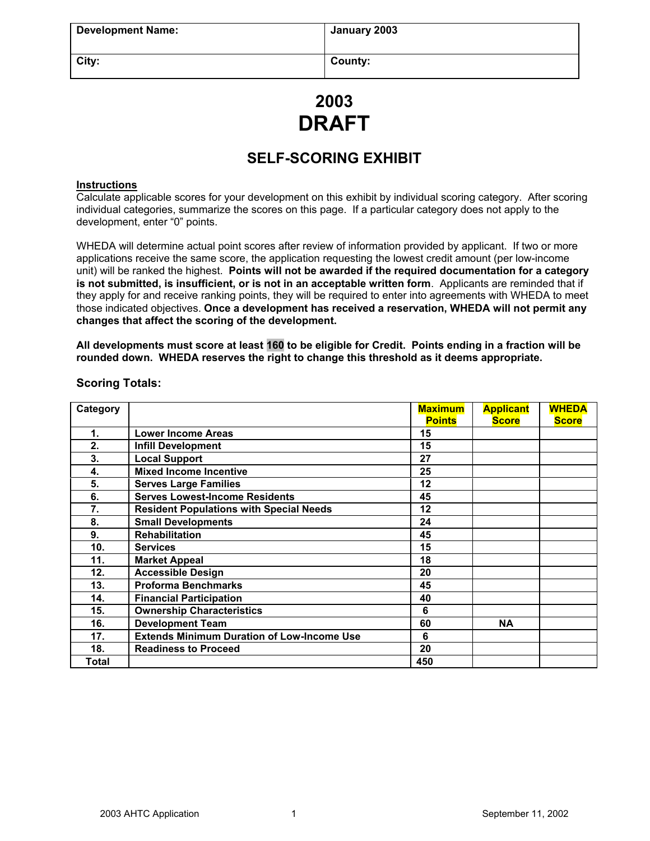| <b>Development Name:</b> | January 2003 |
|--------------------------|--------------|
|                          |              |
| City:                    | County:      |

# **2003 DRAFT**

# **SELF-SCORING EXHIBIT**

## **Instructions**

Calculate applicable scores for your development on this exhibit by individual scoring category. After scoring individual categories, summarize the scores on this page. If a particular category does not apply to the development, enter "0" points.

WHEDA will determine actual point scores after review of information provided by applicant. If two or more applications receive the same score, the application requesting the lowest credit amount (per low-income unit) will be ranked the highest. **Points will not be awarded if the required documentation for a category is not submitted, is insufficient, or is not in an acceptable written form**. Applicants are reminded that if they apply for and receive ranking points, they will be required to enter into agreements with WHEDA to meet those indicated objectives. **Once a development has received a reservation, WHEDA will not permit any changes that affect the scoring of the development.**

**All developments must score at least 160 to be eligible for Credit. Points ending in a fraction will be rounded down. WHEDA reserves the right to change this threshold as it deems appropriate.**

| Category |                                                   | <b>Maximum</b> | <b>Applicant</b> | <b>WHEDA</b> |
|----------|---------------------------------------------------|----------------|------------------|--------------|
|          |                                                   | <b>Points</b>  | <b>Score</b>     | <b>Score</b> |
| 1.       | <b>Lower Income Areas</b>                         | 15             |                  |              |
| 2.       | <b>Infill Development</b>                         | 15             |                  |              |
| 3.       | <b>Local Support</b>                              | 27             |                  |              |
| 4.       | <b>Mixed Income Incentive</b>                     | 25             |                  |              |
| 5.       | <b>Serves Large Families</b>                      | 12             |                  |              |
| 6.       | <b>Serves Lowest-Income Residents</b>             | 45             |                  |              |
| 7.       | <b>Resident Populations with Special Needs</b>    | 12             |                  |              |
| 8.       | <b>Small Developments</b>                         | 24             |                  |              |
| 9.       | <b>Rehabilitation</b>                             | 45             |                  |              |
| 10.      | <b>Services</b>                                   | 15             |                  |              |
| 11.      | <b>Market Appeal</b>                              | 18             |                  |              |
| 12.      | <b>Accessible Design</b>                          | 20             |                  |              |
| 13.      | <b>Proforma Benchmarks</b>                        | 45             |                  |              |
| 14.      | <b>Financial Participation</b>                    | 40             |                  |              |
| 15.      | <b>Ownership Characteristics</b>                  | 6              |                  |              |
| 16.      | <b>Development Team</b>                           | 60             | <b>NA</b>        |              |
| 17.      | <b>Extends Minimum Duration of Low-Income Use</b> | 6              |                  |              |
| 18.      | <b>Readiness to Proceed</b>                       | 20             |                  |              |
| Total    |                                                   | 450            |                  |              |

# **Scoring Totals:**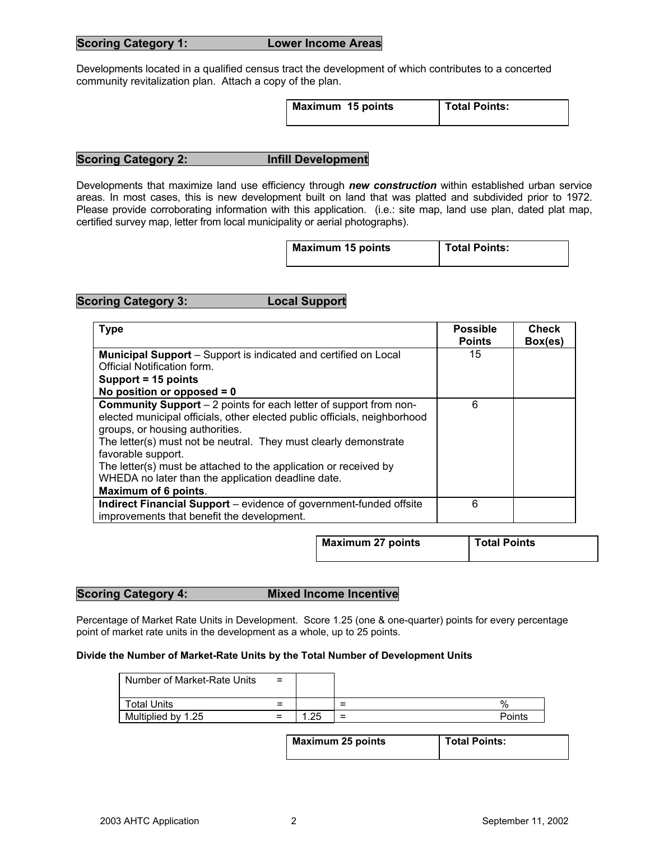| <b>Scoring Category 1:</b> |  |
|----------------------------|--|

Developments located in a qualified census tract the development of which contributes to a concerted community revitalization plan. Attach a copy of the plan.

| Maximum 15 points | Total Points: |
|-------------------|---------------|
|                   |               |

# **Scoring Category 2: Infill Development**

Developments that maximize land use efficiency through *new construction* within established urban service areas. In most cases, this is new development built on land that was platted and subdivided prior to 1972. Please provide corroborating information with this application. (i.e.: site map, land use plan, dated plat map, certified survey map, letter from local municipality or aerial photographs).

| <b>Maximum 15 points</b> | <b>Total Points:</b> |
|--------------------------|----------------------|

## **Scoring Category 3: Local Support**

| <b>Type</b>                                                                                                                                                                                                                                                                                                                                                                                                                          | <b>Possible</b><br><b>Points</b> | <b>Check</b><br>Box(es) |
|--------------------------------------------------------------------------------------------------------------------------------------------------------------------------------------------------------------------------------------------------------------------------------------------------------------------------------------------------------------------------------------------------------------------------------------|----------------------------------|-------------------------|
| <b>Municipal Support</b> – Support is indicated and certified on Local                                                                                                                                                                                                                                                                                                                                                               | 15                               |                         |
| Official Notification form.                                                                                                                                                                                                                                                                                                                                                                                                          |                                  |                         |
| Support = 15 points                                                                                                                                                                                                                                                                                                                                                                                                                  |                                  |                         |
| No position or opposed $= 0$                                                                                                                                                                                                                                                                                                                                                                                                         |                                  |                         |
| <b>Community Support</b> – 2 points for each letter of support from non-<br>elected municipal officials, other elected public officials, neighborhood<br>groups, or housing authorities.<br>The letter(s) must not be neutral. They must clearly demonstrate<br>favorable support.<br>The letter(s) must be attached to the application or received by<br>WHEDA no later than the application deadline date.<br>Maximum of 6 points. | 6                                |                         |
| <b>Indirect Financial Support</b> – evidence of government-funded offsite<br>improvements that benefit the development.                                                                                                                                                                                                                                                                                                              | 6                                |                         |

| <b>Maximum 27 points</b> | Total Points |
|--------------------------|--------------|
|                          |              |

# **Scoring Category 4: Mixed Income Incentive**

Percentage of Market Rate Units in Development. Score 1.25 (one & one-quarter) points for every percentage point of market rate units in the development as a whole, up to 25 points.

## **Divide the Number of Market-Rate Units by the Total Number of Development Units**

| Number of Market-Rate Units | $=$      |    |          |        |
|-----------------------------|----------|----|----------|--------|
| <b>Total Units</b>          | =        |    | =        | $\%$   |
| Multiplied by 1.25          | $\equiv$ | つら | $\equiv$ | Points |

| <b>Maximum 25 points</b> | <b>Total Points:</b> |
|--------------------------|----------------------|
|                          |                      |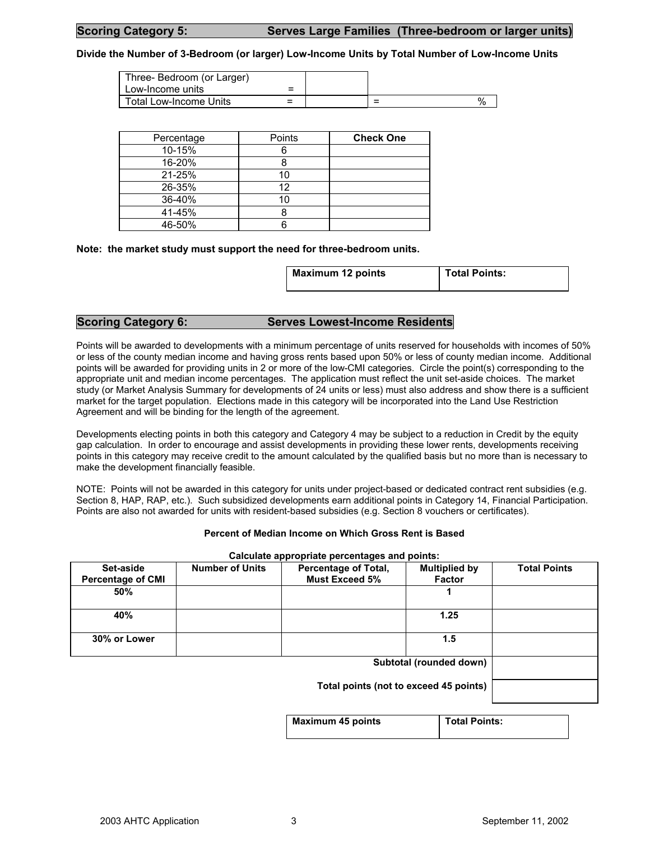### **Divide the Number of 3-Bedroom (or larger) Low-Income Units by Total Number of Low-Income Units**

| Three-Bedroom (or Larger)<br>Low-Income units | -<br>= |   |      |
|-----------------------------------------------|--------|---|------|
| Total Low-Income Units                        |        | = | $\%$ |

| Percentage | Points | <b>Check One</b> |
|------------|--------|------------------|
| 10-15%     |        |                  |
| 16-20%     |        |                  |
| 21-25%     |        |                  |
| 26-35%     | 12     |                  |
| 36-40%     |        |                  |
| 41-45%     |        |                  |
| 46-50%     |        |                  |

**Note: the market study must support the need for three-bedroom units.**

| <b>Maximum 12 points</b> | Total Points: |
|--------------------------|---------------|
|                          |               |

## **Scoring Category 6: Serves Lowest-Income Residents**

Points will be awarded to developments with a minimum percentage of units reserved for households with incomes of 50% or less of the county median income and having gross rents based upon 50% or less of county median income. Additional points will be awarded for providing units in 2 or more of the low-CMI categories. Circle the point(s) corresponding to the appropriate unit and median income percentages. The application must reflect the unit set-aside choices. The market study (or Market Analysis Summary for developments of 24 units or less) must also address and show there is a sufficient market for the target population. Elections made in this category will be incorporated into the Land Use Restriction Agreement and will be binding for the length of the agreement.

Developments electing points in both this category and Category 4 may be subject to a reduction in Credit by the equity gap calculation. In order to encourage and assist developments in providing these lower rents, developments receiving points in this category may receive credit to the amount calculated by the qualified basis but no more than is necessary to make the development financially feasible.

NOTE: Points will not be awarded in this category for units under project-based or dedicated contract rent subsidies (e.g. Section 8, HAP, RAP, etc.). Such subsidized developments earn additional points in Category 14, Financial Participation. Points are also not awarded for units with resident-based subsidies (e.g. Section 8 vouchers or certificates).

#### **Percent of Median Income on Which Gross Rent is Based**

### **Calculate appropriate percentages and points:**

| Set-aside<br><b>Percentage of CMI</b> | <b>Number of Units</b> | <b>Percentage of Total,</b><br><b>Must Exceed 5%</b> | <b>Multiplied by</b><br>Factor | <b>Total Points</b> |
|---------------------------------------|------------------------|------------------------------------------------------|--------------------------------|---------------------|
| 50%                                   |                        |                                                      |                                |                     |
| 40%                                   |                        |                                                      | 1.25                           |                     |
| 30% or Lower                          |                        |                                                      | 1.5                            |                     |
|                                       |                        |                                                      | Subtotal (rounded down)        |                     |
|                                       |                        | Total points (not to exceed 45 points)               |                                |                     |

**Maximum 45 points Total Points:** 

2003 AHTC Application 3 3 September 11, 2002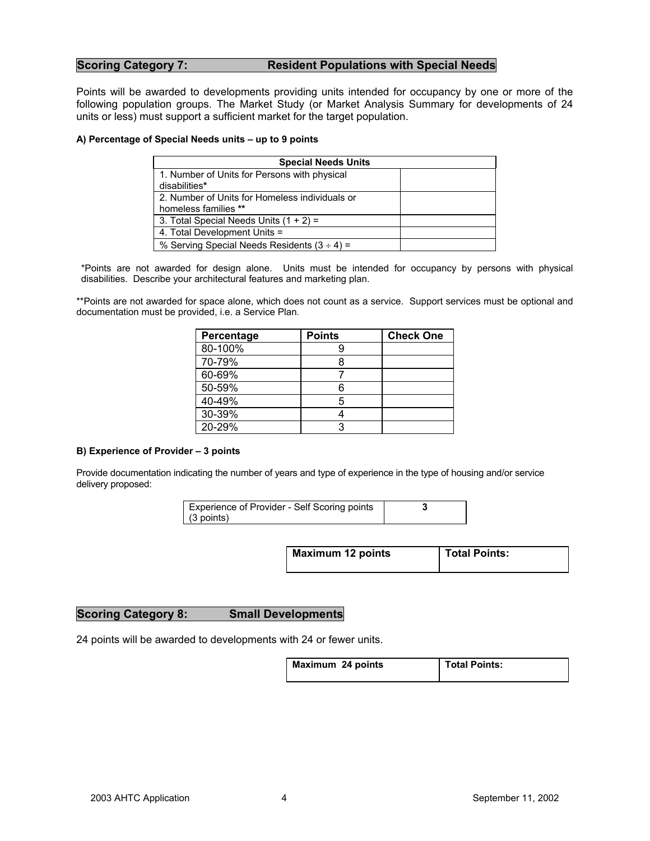# **Scoring Category 7: Resident Populations with Special Needs**

Points will be awarded to developments providing units intended for occupancy by one or more of the following population groups. The Market Study (or Market Analysis Summary for developments of 24 units or less) must support a sufficient market for the target population.

### **A) Percentage of Special Needs units – up to 9 points**

| <b>Special Needs Units</b>                       |  |
|--------------------------------------------------|--|
| 1. Number of Units for Persons with physical     |  |
| disabilities*                                    |  |
| 2. Number of Units for Homeless individuals or   |  |
| homeless families **                             |  |
| 3. Total Special Needs Units $(1 + 2) =$         |  |
| 4. Total Development Units =                     |  |
| % Serving Special Needs Residents $(3 \div 4) =$ |  |

\*Points are not awarded for design alone. Units must be intended for occupancy by persons with physical disabilities. Describe your architectural features and marketing plan.

\*\*Points are not awarded for space alone, which does not count as a service. Support services must be optional and documentation must be provided, i.e. a Service Plan.

| Percentage | <b>Points</b> | <b>Check One</b> |
|------------|---------------|------------------|
| 80-100%    | 9             |                  |
| 70-79%     |               |                  |
| 60-69%     |               |                  |
| 50-59%     | Ⴌ             |                  |
| 40-49%     | 5             |                  |
| 30-39%     |               |                  |
| 20-29%     |               |                  |

### **B) Experience of Provider – 3 points**

Provide documentation indicating the number of years and type of experience in the type of housing and/or service delivery proposed:

| Experience of Provider - Self Scoring points |  |
|----------------------------------------------|--|
| $(3$ points)                                 |  |

| <b>Maximum 12 points</b> | <b>Total Points:</b> |
|--------------------------|----------------------|
|                          |                      |

## **Scoring Category 8: Small Developments**

24 points will be awarded to developments with 24 or fewer units.

| Maximum 24 points | <b>Total Points:</b> |
|-------------------|----------------------|
|                   |                      |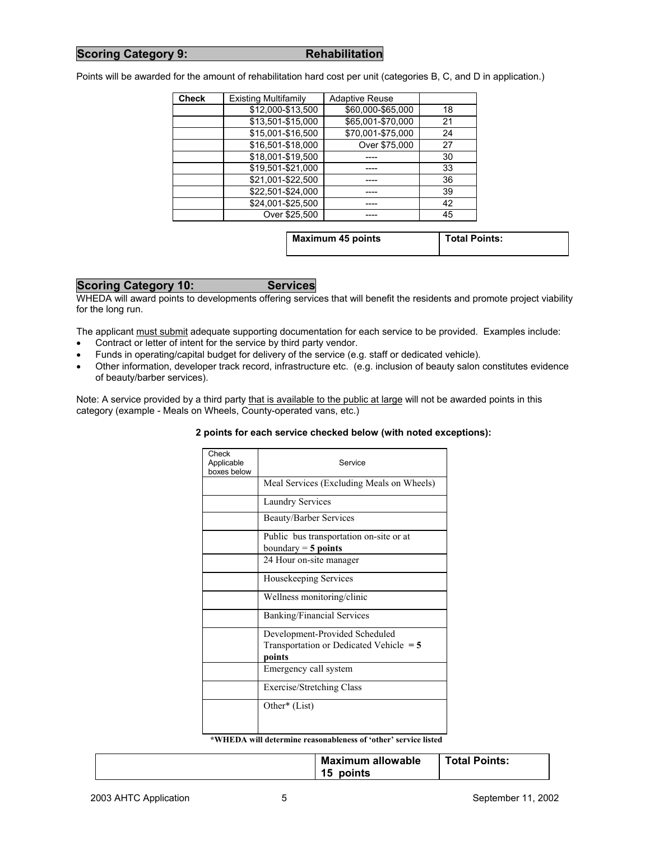# **Scoring Category 9:** Rehabilitation

Points will be awarded for the amount of rehabilitation hard cost per unit (categories B, C, and D in application.)

| <b>Check</b> | <b>Existing Multifamily</b> | <b>Adaptive Reuse</b> |    |
|--------------|-----------------------------|-----------------------|----|
|              | \$12,000-\$13,500           | \$60,000-\$65,000     | 18 |
|              | \$13,501-\$15,000           | \$65,001-\$70,000     | 21 |
|              | \$15,001-\$16,500           | \$70,001-\$75,000     | 24 |
|              | \$16,501-\$18,000           | Over \$75,000         | 27 |
|              | \$18,001-\$19,500           |                       | 30 |
|              | \$19,501-\$21,000           |                       | 33 |
|              | \$21,001-\$22,500           |                       | 36 |
|              | \$22,501-\$24,000           |                       | 39 |
|              | \$24,001-\$25,500           |                       | 42 |
|              | Over \$25.500               |                       | 45 |

| <b>Maximum 45 points</b> | <b>Total Points:</b> |
|--------------------------|----------------------|
|                          |                      |

# **Scoring Category 10: Services**

WHEDA will award points to developments offering services that will benefit the residents and promote project viability for the long run.

The applicant must submit adequate supporting documentation for each service to be provided. Examples include:

- Contract or letter of intent for the service by third party vendor.
- Funds in operating/capital budget for delivery of the service (e.g. staff or dedicated vehicle).
- Other information, developer track record, infrastructure etc. (e.g. inclusion of beauty salon constitutes evidence of beauty/barber services).

Note: A service provided by a third party that is available to the public at large will not be awarded points in this category (example - Meals on Wheels, County-operated vans, etc.)

### **2 points for each service checked below (with noted exceptions):**

| Check<br>Applicable<br>boxes below | Service                                                          |
|------------------------------------|------------------------------------------------------------------|
|                                    | Meal Services (Excluding Meals on Wheels)                        |
|                                    | <b>Laundry Services</b>                                          |
|                                    | <b>Beauty/Barber Services</b>                                    |
|                                    | Public bus transportation on-site or at<br>boundary $=$ 5 points |
|                                    | 24 Hour on-site manager                                          |
|                                    | Housekeeping Services                                            |
|                                    | Wellness monitoring/clinic                                       |
|                                    | <b>Banking/Financial Services</b>                                |
|                                    | Development-Provided Scheduled                                   |
|                                    | Transportation or Dedicated Vehicle $=$ 5<br>points              |
|                                    | Emergency call system                                            |
|                                    | Exercise/Stretching Class                                        |
|                                    | Other* (List)                                                    |

**\*WHEDA will determine reasonableness of 'other' service listed**

| 15 | <b>Maximum allowable</b><br>points | <b>Total Points:</b> |
|----|------------------------------------|----------------------|
|----|------------------------------------|----------------------|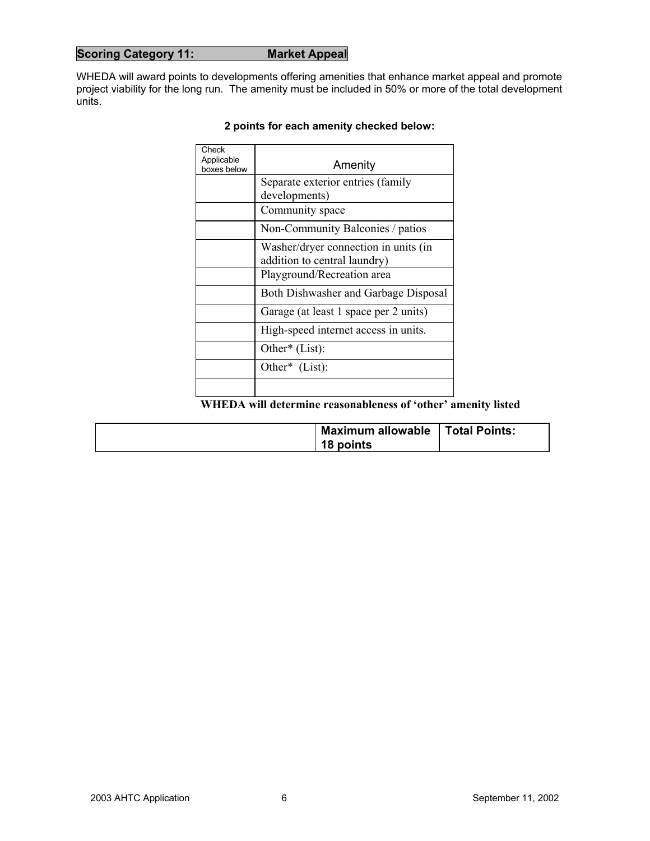# **Scoring Category 11: Market Appeal**

WHEDA will award points to developments offering amenities that enhance market appeal and promote project viability for the long run. The amenity must be included in 50% or more of the total development units.

| Check<br>Applicable<br>boxes below | Amenity                                                              |
|------------------------------------|----------------------------------------------------------------------|
|                                    | Separate exterior entries (family                                    |
|                                    | developments)                                                        |
|                                    | Community space                                                      |
|                                    | Non-Community Balconies / patios                                     |
|                                    | Washer/dryer connection in units (in<br>addition to central laundry) |
|                                    | Playground/Recreation area                                           |
|                                    | Both Dishwasher and Garbage Disposal                                 |
|                                    | Garage (at least 1 space per 2 units)                                |
|                                    | High-speed internet access in units.                                 |
|                                    | Other* (List):                                                       |
|                                    | Other* (List):                                                       |
|                                    |                                                                      |

# **2 points for each amenity checked below:**

# **WHEDA will determine reasonableness of 'other' amenity listed**

| <b>Maximum allowable</b> | Total Points: |
|--------------------------|---------------|
| 18 points                |               |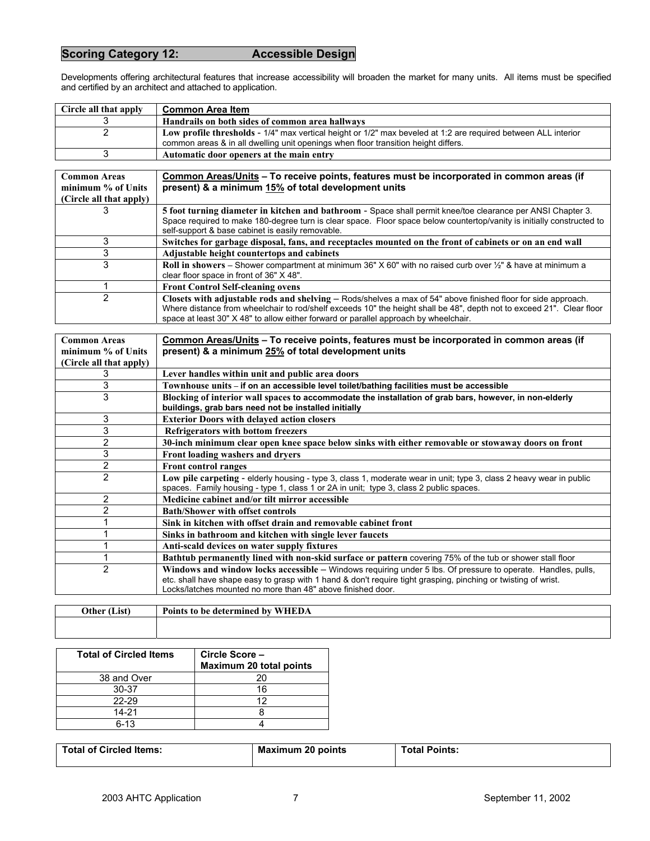# **Scoring Category 12: Accessible Design**

Developments offering architectural features that increase accessibility will broaden the market for many units. All items must be specified and certified by an architect and attached to application.

| Circle all that apply | <b>Common Area Item</b>                                                                                        |
|-----------------------|----------------------------------------------------------------------------------------------------------------|
|                       | Handrails on both sides of common area hallways                                                                |
|                       | Low profile thresholds - 1/4" max vertical height or 1/2" max beveled at 1:2 are required between ALL interior |
|                       | common areas & in all dwelling unit openings when floor transition height differs.                             |
|                       | Automatic door openers at the main entry                                                                       |

| <b>Common Areas</b><br>minimum % of Units<br>(Circle all that apply) | Common Areas/Units – To receive points, features must be incorporated in common areas (if<br>present) & a minimum 15% of total development units                                                                                                                                                                               |  |
|----------------------------------------------------------------------|--------------------------------------------------------------------------------------------------------------------------------------------------------------------------------------------------------------------------------------------------------------------------------------------------------------------------------|--|
| 3                                                                    | 5 foot turning diameter in kitchen and bathroom - Space shall permit knee/toe clearance per ANSI Chapter 3.<br>Space required to make 180-degree turn is clear space. Floor space below countertop/vanity is initially constructed to<br>self-support & base cabinet is easily removable.                                      |  |
| 3                                                                    | Switches for garbage disposal, fans, and receptacles mounted on the front of cabinets or on an end wall                                                                                                                                                                                                                        |  |
| 3                                                                    | Adjustable height countertops and cabinets                                                                                                                                                                                                                                                                                     |  |
| 3                                                                    | Roll in showers – Shower compartment at minimum 36" X 60" with no raised curb over 1/2" & have at minimum a<br>clear floor space in front of 36" X 48".                                                                                                                                                                        |  |
|                                                                      | <b>Front Control Self-cleaning ovens</b>                                                                                                                                                                                                                                                                                       |  |
| 2                                                                    | Closets with adjustable rods and shelving – Rods/shelves a max of 54" above finished floor for side approach.<br>Where distance from wheelchair to rod/shelf exceeds 10" the height shall be 48", depth not to exceed 21". Clear floor<br>space at least 30" X 48" to allow either forward or parallel approach by wheelchair. |  |

| <b>Common Areas</b>     | Common Areas/Units – To receive points, features must be incorporated in common areas (if                                                                                                                     |
|-------------------------|---------------------------------------------------------------------------------------------------------------------------------------------------------------------------------------------------------------|
| minimum % of Units      | present) & a minimum 25% of total development units                                                                                                                                                           |
| (Circle all that apply) |                                                                                                                                                                                                               |
| 3                       | Lever handles within unit and public area doors                                                                                                                                                               |
| 3                       | Townhouse units – if on an accessible level toilet/bathing facilities must be accessible                                                                                                                      |
| 3                       | Blocking of interior wall spaces to accommodate the installation of grab bars, however, in non-elderly                                                                                                        |
|                         | buildings, grab bars need not be installed initially                                                                                                                                                          |
| 3                       | <b>Exterior Doors with delayed action closers</b>                                                                                                                                                             |
| 3                       | Refrigerators with bottom freezers                                                                                                                                                                            |
| 2                       | 30-inch minimum clear open knee space below sinks with either removable or stowaway doors on front                                                                                                            |
| 3                       | Front loading washers and dryers                                                                                                                                                                              |
| $\overline{2}$          | <b>Front control ranges</b>                                                                                                                                                                                   |
| $\overline{2}$          | Low pile carpeting - elderly housing - type 3, class 1, moderate wear in unit; type 3, class 2 heavy wear in public<br>spaces. Family housing - type 1, class 1 or 2A in unit; type 3, class 2 public spaces. |
| $\overline{2}$          | Medicine cabinet and/or tilt mirror accessible                                                                                                                                                                |
| 2                       | <b>Bath/Shower with offset controls</b>                                                                                                                                                                       |
|                         | Sink in kitchen with offset drain and removable cabinet front                                                                                                                                                 |
|                         | Sinks in bathroom and kitchen with single lever faucets                                                                                                                                                       |
|                         | Anti-scald devices on water supply fixtures                                                                                                                                                                   |
|                         | Bathtub permanently lined with non-skid surface or pattern covering 75% of the tub or shower stall floor                                                                                                      |
| $\overline{2}$          | Windows and window locks accessible - Windows requiring under 5 lbs. Of pressure to operate. Handles, pulls,                                                                                                  |
|                         | etc. shall have shape easy to grasp with 1 hand & don't require tight grasping, pinching or twisting of wrist.<br>Locks/latches mounted no more than 48" above finished door.                                 |
|                         |                                                                                                                                                                                                               |

| (List)<br>Other | $\sim$<br>WHEDA<br>Points to be determined by |
|-----------------|-----------------------------------------------|
|                 |                                               |

| <b>Total of Circled Items</b> | Circle Score-<br>Maximum 20 total points |
|-------------------------------|------------------------------------------|
| 38 and Over                   | 20                                       |
| 30-37                         | 16                                       |
| 22-29                         | ィク                                       |
| $14 - 21$                     |                                          |
| $6-13$                        |                                          |

| <b>Total of Circled Items:</b> | <b>Maximum 20 points</b> | <b>Total Points:</b> |
|--------------------------------|--------------------------|----------------------|
|                                |                          |                      |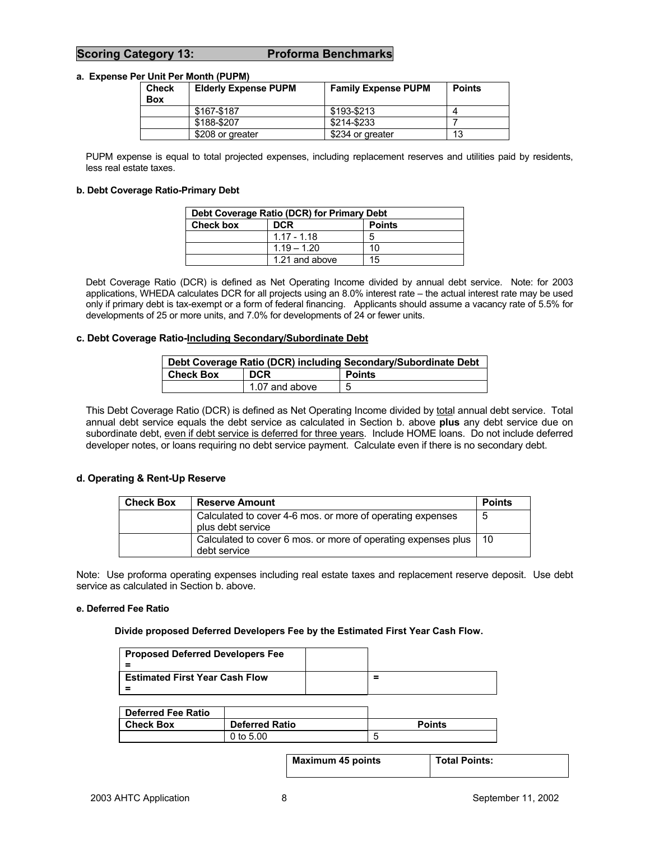# **Scoring Category 13: Proforma Benchmarks**

### **a. Expense Per Unit Per Month (PUPM)**

| Check<br><b>Box</b> | <b>Elderly Expense PUPM</b> | <b>Family Expense PUPM</b> | <b>Points</b> |
|---------------------|-----------------------------|----------------------------|---------------|
|                     | \$167-\$187                 | \$193-\$213                |               |
|                     | \$188-\$207                 | \$214-\$233                |               |
|                     | \$208 or greater            | \$234 or greater           | 13            |

PUPM expense is equal to total projected expenses, including replacement reserves and utilities paid by residents, less real estate taxes.

#### **b. Debt Coverage Ratio-Primary Debt**

| Debt Coverage Ratio (DCR) for Primary Debt |                |    |  |
|--------------------------------------------|----------------|----|--|
| Check box<br><b>DCR</b><br><b>Points</b>   |                |    |  |
|                                            | $1.17 - 1.18$  | 5  |  |
|                                            | $1.19 - 1.20$  | 10 |  |
|                                            | 1.21 and above | 15 |  |

Debt Coverage Ratio (DCR) is defined as Net Operating Income divided by annual debt service. Note: for 2003 applications, WHEDA calculates DCR for all projects using an 8.0% interest rate – the actual interest rate may be used only if primary debt is tax-exempt or a form of federal financing. Applicants should assume a vacancy rate of 5.5% for developments of 25 or more units, and 7.0% for developments of 24 or fewer units.

### **c. Debt Coverage Ratio-Including Secondary/Subordinate Debt**

| Debt Coverage Ratio (DCR) including Secondary/Subordinate Debt |                |               |  |
|----------------------------------------------------------------|----------------|---------------|--|
| <b>Check Box</b>                                               | <b>DCR</b>     | <b>Points</b> |  |
|                                                                | 1.07 and above | b             |  |

This Debt Coverage Ratio (DCR) is defined as Net Operating Income divided by total annual debt service. Total annual debt service equals the debt service as calculated in Section b. above **plus** any debt service due on subordinate debt, even if debt service is deferred for three years. Include HOME loans. Do not include deferred developer notes, or loans requiring no debt service payment. Calculate even if there is no secondary debt.

### **d. Operating & Rent-Up Reserve**

| <b>Check Box</b> | <b>Reserve Amount</b>                                                           | <b>Points</b>   |
|------------------|---------------------------------------------------------------------------------|-----------------|
|                  | Calculated to cover 4-6 mos. or more of operating expenses<br>plus debt service | 5               |
|                  | Calculated to cover 6 mos. or more of operating expenses plus<br>debt service   | $\overline{10}$ |

Note: Use proforma operating expenses including real estate taxes and replacement reserve deposit. Use debt service as calculated in Section b. above.

#### **e. Deferred Fee Ratio**

#### **Divide proposed Deferred Developers Fee by the Estimated First Year Cash Flow.**

| <b>Proposed Deferred Developers Fee</b> |   |
|-----------------------------------------|---|
| <b>Estimated First Year Cash Flow</b>   | = |

| <b>Deferred Fee Ratio</b> |                       |               |
|---------------------------|-----------------------|---------------|
| <b>Check Box</b>          | <b>Deferred Ratio</b> | <b>Points</b> |
|                           | 0 to $5.00$           |               |

**Maximum 45 points Total Points:**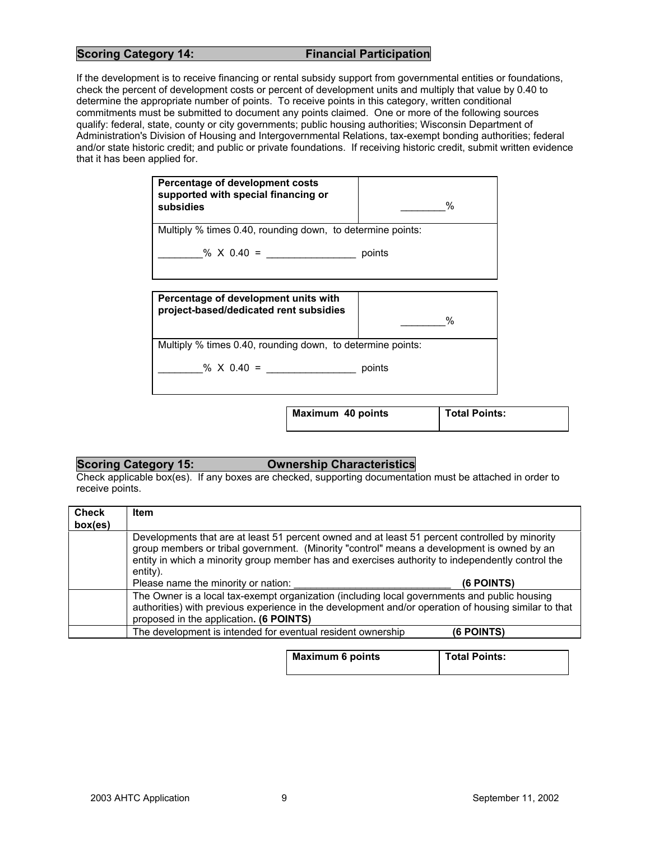# **Scoring Category 14:** Financial Participation

If the development is to receive financing or rental subsidy support from governmental entities or foundations, check the percent of development costs or percent of development units and multiply that value by 0.40 to determine the appropriate number of points. To receive points in this category, written conditional commitments must be submitted to document any points claimed. One or more of the following sources qualify: federal, state, county or city governments; public housing authorities; Wisconsin Department of Administration's Division of Housing and Intergovernmental Relations, tax-exempt bonding authorities; federal and/or state historic credit; and public or private foundations. If receiving historic credit, submit written evidence that it has been applied for.

| Percentage of development costs<br>supported with special financing or<br>subsidies |        | $\%$                 |
|-------------------------------------------------------------------------------------|--------|----------------------|
| Multiply % times 0.40, rounding down, to determine points:                          |        |                      |
| % $X$ 0.40 =                                                                        | points |                      |
| Percentage of development units with<br>project-based/dedicated rent subsidies      |        | $\%$                 |
| Multiply % times 0.40, rounding down, to determine points:                          |        |                      |
| % $\times$ 0.40 =                                                                   | points |                      |
| Maximum 40 points                                                                   |        | <b>Total Points:</b> |

# **Scoring Category 15: Ownership Characteristics**

Check applicable box(es). If any boxes are checked, supporting documentation must be attached in order to receive points.

| <b>Check</b><br>box(es) | Item                                                                                                                                                                                                                                                                                                         |
|-------------------------|--------------------------------------------------------------------------------------------------------------------------------------------------------------------------------------------------------------------------------------------------------------------------------------------------------------|
|                         | Developments that are at least 51 percent owned and at least 51 percent controlled by minority<br>group members or tribal government. (Minority "control" means a development is owned by an<br>entity in which a minority group member has and exercises authority to independently control the<br>entity). |
|                         | Please name the minority or nation:<br><b>(6 POINTS)</b>                                                                                                                                                                                                                                                     |
|                         | The Owner is a local tax-exempt organization (including local governments and public housing<br>authorities) with previous experience in the development and/or operation of housing similar to that<br>proposed in the application. (6 POINTS)                                                              |
|                         | The development is intended for eventual resident ownership<br><b>(6 POINTS)</b>                                                                                                                                                                                                                             |

| <b>Maximum 6 points</b> | <b>Total Points:</b> |
|-------------------------|----------------------|
|                         |                      |